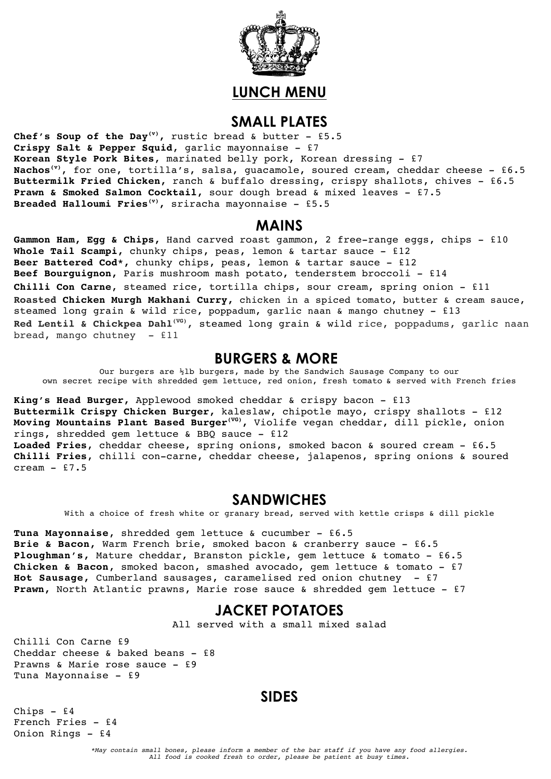

# **LUNCH MENU**

#### **SMALL PLATES**

**Chef's Soup of the Day(v),** rustic bread & butter - £5.5 **Crispy Salt & Pepper Squid**, garlic mayonnaise - £7 **Korean Style Pork Bites**, marinated belly pork, Korean dressing - £7 **Nachos(v)**, for one, tortilla's, salsa, guacamole, soured cream, cheddar cheese - £6.5 **Buttermilk Fried Chicken,** ranch & buffalo dressing, crispy shallots, chives - £6.5 **Prawn & Smoked Salmon Cocktail,** sour dough bread & mixed leaves - £7.5 **Breaded Halloumi Fries(v),** sriracha mayonnaise - £5.5

#### **MAINS**

**Gammon Ham, Egg & Chips,** Hand carved roast gammon, 2 free-range eggs, chips - £10 **Whole Tail Scampi,** chunky chips, peas, lemon & tartar sauce - £12 **Beer Battered Cod\*,** chunky chips, peas, lemon & tartar sauce - £12 **Beef Bourguignon,** Paris mushroom mash potato, tenderstem broccoli - £14 **Chilli Con Carne**, steamed rice, tortilla chips, sour cream, spring onion - £11 **Roasted Chicken Murgh Makhani Curry,** chicken in a spiced tomato, butter & cream sauce, steamed long grain & wild rice, poppadum, garlic naan & mango chutney - £13 **Red Lentil & Chickpea Dahl(VG),** steamed long grain & wild rice, poppadums, garlic naan bread, mango chutney - £11

### **BURGERS & MORE**

Our burgers are ½lb burgers, made by the Sandwich Sausage Company to our own secret recipe with shredded gem lettuce, red onion, fresh tomato & served with French fries

**King's Head Burger,** Applewood smoked cheddar & crispy bacon - £13 **Buttermilk Crispy Chicken Burger,** kaleslaw, chipotle mayo, crispy shallots - £12 **Moving Mountains Plant Based Burger(VG),** Violife vegan cheddar, dill pickle, onion rings, shredded gem lettuce & BBQ sauce - £12 **Loaded Fries**, cheddar cheese, spring onions, smoked bacon & soured cream - £6.5 **Chilli Fries**, chilli con-carne, cheddar cheese, jalapenos, spring onions & soured cream  $-$  £7.5

### **SANDWICHES**

With a choice of fresh white or granary bread, served with kettle crisps & dill pickle

**Tuna Mayonnaise**, shredded gem lettuce & cucumber - £6.5 **Brie & Bacon,** Warm French brie, smoked bacon & cranberry sauce - £6.5 **Ploughman's,** Mature cheddar, Branston pickle, gem lettuce & tomato - £6.5 **Chicken & Bacon**, smoked bacon, smashed avocado, gem lettuce & tomato - £7 **Hot Sausage,** Cumberland sausages, caramelised red onion chutney - £7 **Prawn,** North Atlantic prawns, Marie rose sauce & shredded gem lettuce - £7

## **JACKET POTATOES**

All served with a small mixed salad

Chilli Con Carne £9 Cheddar cheese & baked beans - £8 Prawns & Marie rose sauce - £9 Tuna Mayonnaise - £9

### **SIDES**

Chips - £4 French Fries - £4 Onion Rings - £4